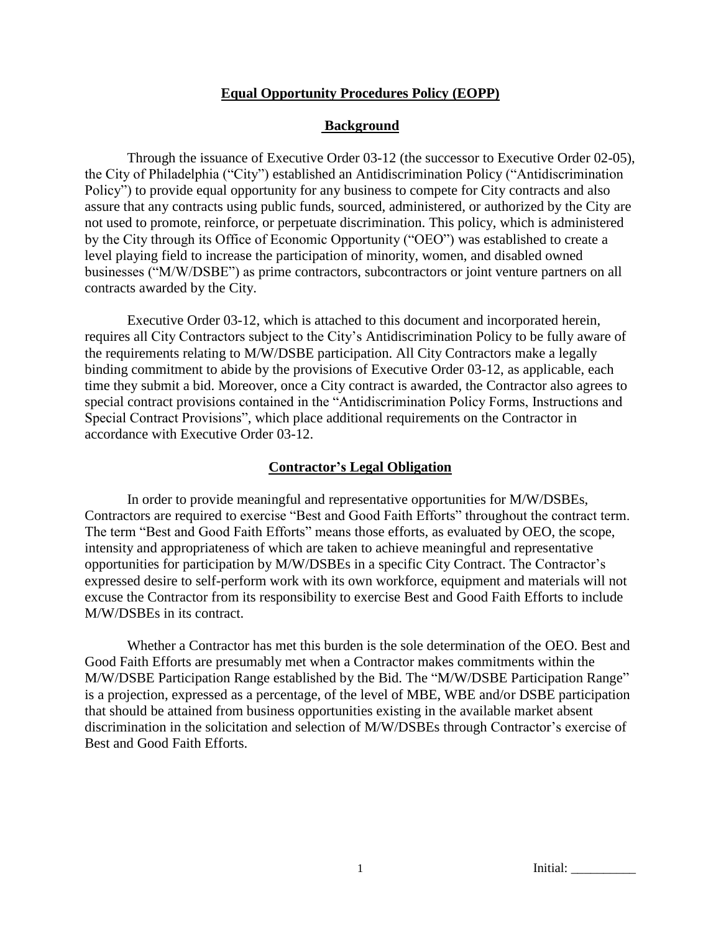### **Equal Opportunity Procedures Policy (EOPP)**

### **Background**

Through the issuance of Executive Order 03-12 (the successor to Executive Order 02-05), the City of Philadelphia ("City") established an Antidiscrimination Policy ("Antidiscrimination Policy") to provide equal opportunity for any business to compete for City contracts and also assure that any contracts using public funds, sourced, administered, or authorized by the City are not used to promote, reinforce, or perpetuate discrimination. This policy, which is administered by the City through its Office of Economic Opportunity ("OEO") was established to create a level playing field to increase the participation of minority, women, and disabled owned businesses ("M/W/DSBE") as prime contractors, subcontractors or joint venture partners on all contracts awarded by the City.

Executive Order 03-12, which is attached to this document and incorporated herein, requires all City Contractors subject to the City's Antidiscrimination Policy to be fully aware of the requirements relating to M/W/DSBE participation. All City Contractors make a legally binding commitment to abide by the provisions of Executive Order 03-12, as applicable, each time they submit a bid. Moreover, once a City contract is awarded, the Contractor also agrees to special contract provisions contained in the "Antidiscrimination Policy Forms, Instructions and Special Contract Provisions", which place additional requirements on the Contractor in accordance with Executive Order 03-12.

#### **Contractor's Legal Obligation**

In order to provide meaningful and representative opportunities for M/W/DSBEs, Contractors are required to exercise "Best and Good Faith Efforts" throughout the contract term. The term "Best and Good Faith Efforts" means those efforts, as evaluated by OEO, the scope, intensity and appropriateness of which are taken to achieve meaningful and representative opportunities for participation by M/W/DSBEs in a specific City Contract. The Contractor's expressed desire to self-perform work with its own workforce, equipment and materials will not excuse the Contractor from its responsibility to exercise Best and Good Faith Efforts to include M/W/DSBEs in its contract.

Whether a Contractor has met this burden is the sole determination of the OEO. Best and Good Faith Efforts are presumably met when a Contractor makes commitments within the M/W/DSBE Participation Range established by the Bid. The "M/W/DSBE Participation Range" is a projection, expressed as a percentage, of the level of MBE, WBE and/or DSBE participation that should be attained from business opportunities existing in the available market absent discrimination in the solicitation and selection of M/W/DSBEs through Contractor's exercise of Best and Good Faith Efforts.

1 Initial: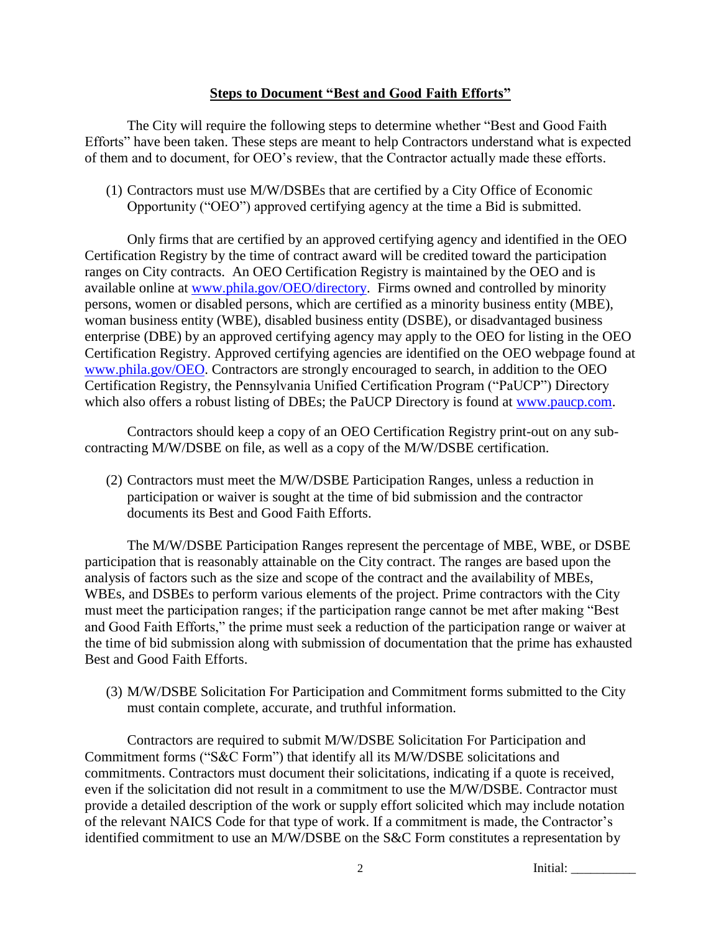### **Steps to Document "Best and Good Faith Efforts"**

The City will require the following steps to determine whether "Best and Good Faith Efforts" have been taken. These steps are meant to help Contractors understand what is expected of them and to document, for OEO's review, that the Contractor actually made these efforts.

(1) Contractors must use M/W/DSBEs that are certified by a City Office of Economic Opportunity ("OEO") approved certifying agency at the time a Bid is submitted.

Only firms that are certified by an approved certifying agency and identified in the OEO Certification Registry by the time of contract award will be credited toward the participation ranges on City contracts. An OEO Certification Registry is maintained by the OEO and is available online at [www.phila.gov/OEO/directory.](http://www.phila.gov/OEO/directory) Firms owned and controlled by minority persons, women or disabled persons, which are certified as a minority business entity (MBE), woman business entity (WBE), disabled business entity (DSBE), or disadvantaged business enterprise (DBE) by an approved certifying agency may apply to the OEO for listing in the OEO Certification Registry. Approved certifying agencies are identified on the OEO webpage found at [www.phila.gov/OEO.](http://www.phila.gov/OEO) Contractors are strongly encouraged to search, in addition to the OEO Certification Registry, the Pennsylvania Unified Certification Program ("PaUCP") Directory which also offers a robust listing of DBEs; the PaUCP Directory is found at [www.paucp.com.](http://www.paucp.com/)

Contractors should keep a copy of an OEO Certification Registry print-out on any subcontracting M/W/DSBE on file, as well as a copy of the M/W/DSBE certification.

(2) Contractors must meet the M/W/DSBE Participation Ranges, unless a reduction in participation or waiver is sought at the time of bid submission and the contractor documents its Best and Good Faith Efforts.

The M/W/DSBE Participation Ranges represent the percentage of MBE, WBE, or DSBE participation that is reasonably attainable on the City contract. The ranges are based upon the analysis of factors such as the size and scope of the contract and the availability of MBEs, WBEs, and DSBEs to perform various elements of the project. Prime contractors with the City must meet the participation ranges; if the participation range cannot be met after making "Best and Good Faith Efforts," the prime must seek a reduction of the participation range or waiver at the time of bid submission along with submission of documentation that the prime has exhausted Best and Good Faith Efforts.

(3) M/W/DSBE Solicitation For Participation and Commitment forms submitted to the City must contain complete, accurate, and truthful information.

Contractors are required to submit M/W/DSBE Solicitation For Participation and Commitment forms ("S&C Form") that identify all its M/W/DSBE solicitations and commitments. Contractors must document their solicitations, indicating if a quote is received, even if the solicitation did not result in a commitment to use the M/W/DSBE. Contractor must provide a detailed description of the work or supply effort solicited which may include notation of the relevant NAICS Code for that type of work. If a commitment is made, the Contractor's identified commitment to use an M/W/DSBE on the S&C Form constitutes a representation by

2 Initial: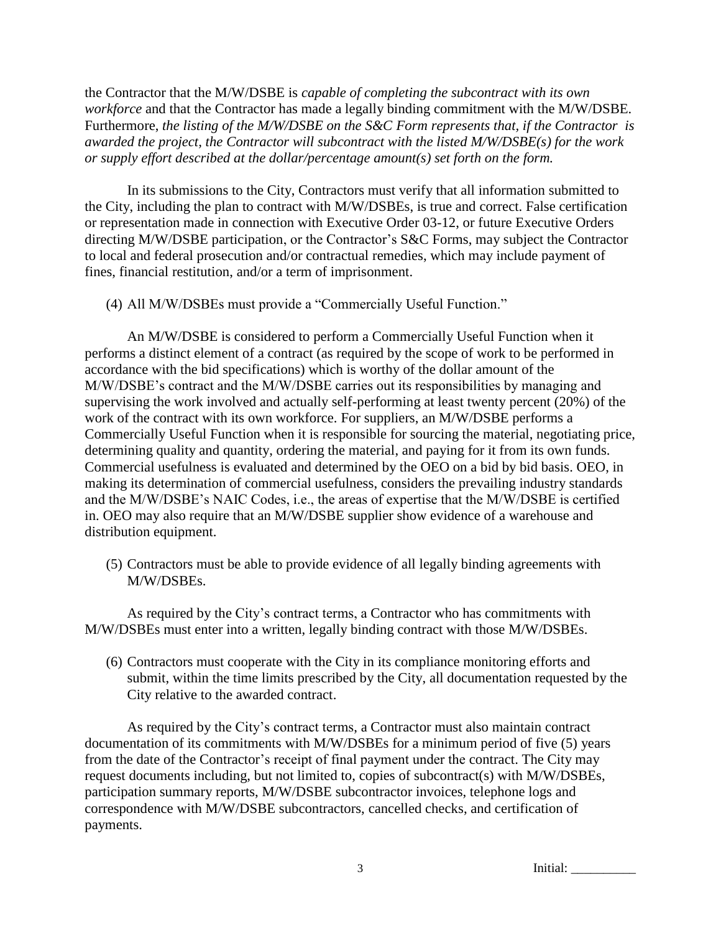the Contractor that the M/W/DSBE is *capable of completing the subcontract with its own workforce* and that the Contractor has made a legally binding commitment with the M/W/DSBE. Furthermore, *the listing of the M/W/DSBE on the S&C Form represents that, if the Contractor is awarded the project, the Contractor will subcontract with the listed M/W/DSBE(s) for the work or supply effort described at the dollar/percentage amount(s) set forth on the form.*

In its submissions to the City, Contractors must verify that all information submitted to the City, including the plan to contract with M/W/DSBEs, is true and correct. False certification or representation made in connection with Executive Order 03-12, or future Executive Orders directing M/W/DSBE participation, or the Contractor's S&C Forms, may subject the Contractor to local and federal prosecution and/or contractual remedies, which may include payment of fines, financial restitution, and/or a term of imprisonment.

(4) All M/W/DSBEs must provide a "Commercially Useful Function."

An M/W/DSBE is considered to perform a Commercially Useful Function when it performs a distinct element of a contract (as required by the scope of work to be performed in accordance with the bid specifications) which is worthy of the dollar amount of the M/W/DSBE's contract and the M/W/DSBE carries out its responsibilities by managing and supervising the work involved and actually self-performing at least twenty percent (20%) of the work of the contract with its own workforce. For suppliers, an M/W/DSBE performs a Commercially Useful Function when it is responsible for sourcing the material, negotiating price, determining quality and quantity, ordering the material, and paying for it from its own funds. Commercial usefulness is evaluated and determined by the OEO on a bid by bid basis. OEO, in making its determination of commercial usefulness, considers the prevailing industry standards and the M/W/DSBE's NAIC Codes, i.e., the areas of expertise that the M/W/DSBE is certified in. OEO may also require that an M/W/DSBE supplier show evidence of a warehouse and distribution equipment.

(5) Contractors must be able to provide evidence of all legally binding agreements with M/W/DSBEs.

As required by the City's contract terms, a Contractor who has commitments with M/W/DSBEs must enter into a written, legally binding contract with those M/W/DSBEs.

(6) Contractors must cooperate with the City in its compliance monitoring efforts and submit, within the time limits prescribed by the City, all documentation requested by the City relative to the awarded contract.

As required by the City's contract terms, a Contractor must also maintain contract documentation of its commitments with M/W/DSBEs for a minimum period of five (5) years from the date of the Contractor's receipt of final payment under the contract. The City may request documents including, but not limited to, copies of subcontract(s) with M/W/DSBEs, participation summary reports, M/W/DSBE subcontractor invoices, telephone logs and correspondence with M/W/DSBE subcontractors, cancelled checks, and certification of payments.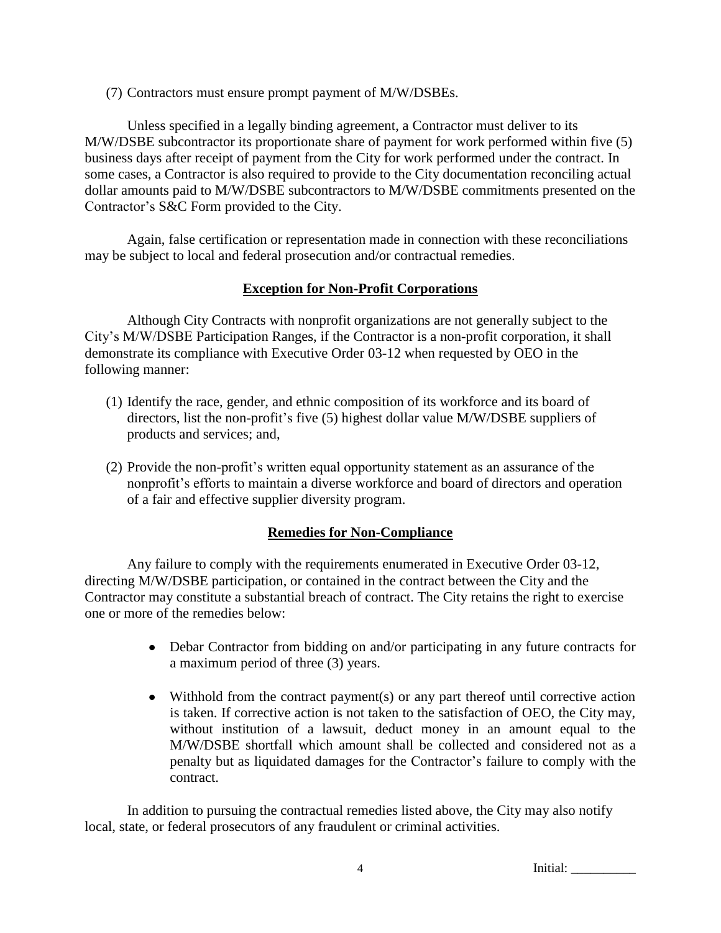(7) Contractors must ensure prompt payment of M/W/DSBEs.

Unless specified in a legally binding agreement, a Contractor must deliver to its M/W/DSBE subcontractor its proportionate share of payment for work performed within five (5) business days after receipt of payment from the City for work performed under the contract. In some cases, a Contractor is also required to provide to the City documentation reconciling actual dollar amounts paid to M/W/DSBE subcontractors to M/W/DSBE commitments presented on the Contractor's S&C Form provided to the City.

Again, false certification or representation made in connection with these reconciliations may be subject to local and federal prosecution and/or contractual remedies.

# **Exception for Non-Profit Corporations**

Although City Contracts with nonprofit organizations are not generally subject to the City's M/W/DSBE Participation Ranges, if the Contractor is a non-profit corporation, it shall demonstrate its compliance with Executive Order 03-12 when requested by OEO in the following manner:

- (1) Identify the race, gender, and ethnic composition of its workforce and its board of directors, list the non-profit's five (5) highest dollar value M/W/DSBE suppliers of products and services; and,
- (2) Provide the non-profit's written equal opportunity statement as an assurance of the nonprofit's efforts to maintain a diverse workforce and board of directors and operation of a fair and effective supplier diversity program.

# **Remedies for Non-Compliance**

Any failure to comply with the requirements enumerated in Executive Order 03-12, directing M/W/DSBE participation, or contained in the contract between the City and the Contractor may constitute a substantial breach of contract. The City retains the right to exercise one or more of the remedies below:

- Debar Contractor from bidding on and/or participating in any future contracts for a maximum period of three (3) years.
- Withhold from the contract payment(s) or any part thereof until corrective action is taken. If corrective action is not taken to the satisfaction of OEO, the City may, without institution of a lawsuit, deduct money in an amount equal to the M/W/DSBE shortfall which amount shall be collected and considered not as a penalty but as liquidated damages for the Contractor's failure to comply with the contract.

In addition to pursuing the contractual remedies listed above, the City may also notify local, state, or federal prosecutors of any fraudulent or criminal activities.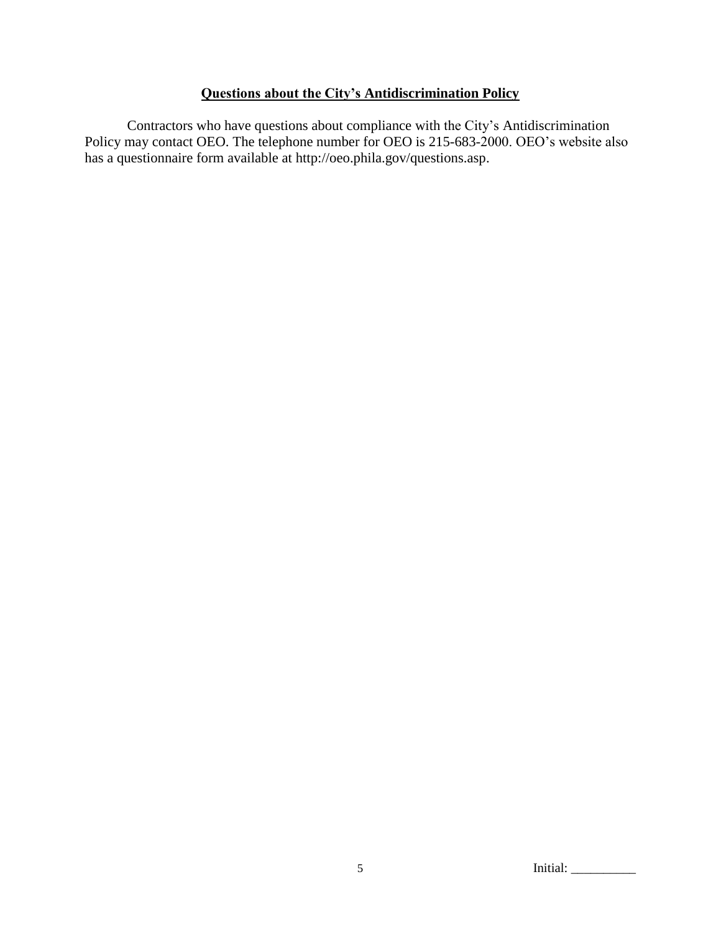# **Questions about the City's Antidiscrimination Policy**

Contractors who have questions about compliance with the City's Antidiscrimination Policy may contact OEO. The telephone number for OEO is 215-683-2000. OEO's website also has a questionnaire form available at http://oeo.phila.gov/questions.asp.